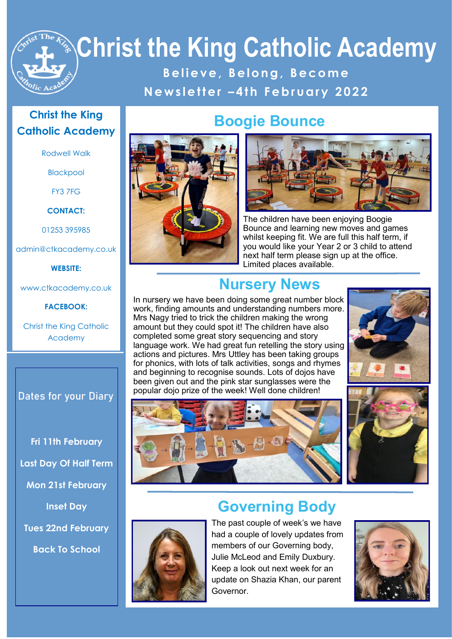**B e l i e v e , B e l o n g , B e c o m e N e w s l e t t e r – 4 t h F e b r u a r y 2 0 2 2**

#### **Christ the King Catholic Academy**

Rodwell Walk

Blackpool

FY3 7FG

**CONTACT:**

01253 395985

admin@ctkacademy.co.uk

**WEBSITE:**

www.ctkacademy.co.uk

#### **FACEBOOK:**

Christ the King Catholic Academy

**Dates for your Diary**

**Fri 11th February Last Day Of Half Term Mon 21st February Inset Day Tues 22nd February**

**Back To School**



#### **Boogie Bounce**



The children have been enjoying Boogie Bounce and learning new moves and games whilst keeping fit. We are full this half term, if you would like your Year 2 or 3 child to attend next half term please sign up at the office. Limited places available.

### **Nursery News**

In nursery we have been doing some great number block work, finding amounts and understanding numbers more. Mrs Nagy tried to trick the children making the wrong amount but they could spot it! The children have also completed some great story sequencing and story language work. We had great fun retelling the story using actions and pictures. Mrs Uttley has been taking groups for phonics, with lots of talk activities, songs and rhymes and beginning to recognise sounds. Lots of dojos have been given out and the pink star sunglasses were the popular dojo prize of the week! Well done children!









had a couple of lovely updates from members of our Governing body, Julie McLeod and Emily Duxbury. Keep a look out next week for an update on Shazia Khan, our parent Governor.

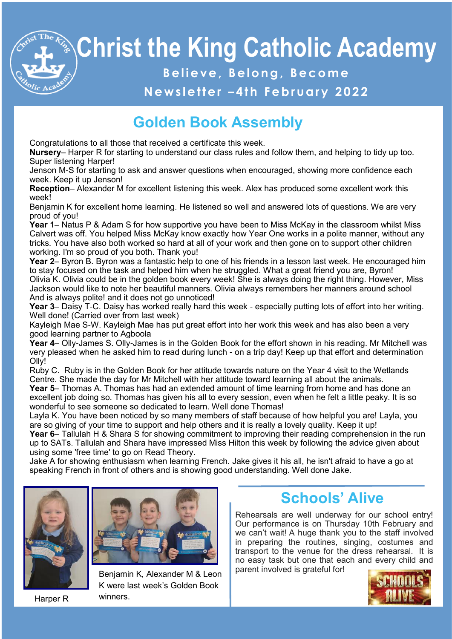**B e l i e v e , B e l o n g , B e c o m e**

#### **N e w s l e t t e r – 4 t h F e b r u a r y 2 0 2 2**

## **Golden Book Assembly**

Congratulations to all those that received a certificate this week.

**Nursery**– Harper R for starting to understand our class rules and follow them, and helping to tidy up too. Super listening Harper!

Jenson M-S for starting to ask and answer questions when encouraged, showing more confidence each week. Keep it up Jenson!

**Reception**– Alexander M for excellent listening this week. Alex has produced some excellent work this week!

Benjamin K for excellent home learning. He listened so well and answered lots of questions. We are very proud of you!

**Year 1**– Natus P & Adam S for how supportive you have been to Miss McKay in the classroom whilst Miss Calvert was off. You helped Miss McKay know exactly how Year One works in a polite manner, without any tricks. You have also both worked so hard at all of your work and then gone on to support other children working. I'm so proud of you both. Thank you!

**Year 2**– Byron B. Byron was a fantastic help to one of his friends in a lesson last week. He encouraged him to stay focused on the task and helped him when he struggled. What a great friend you are, Byron! Olivia K. Olivia could be in the golden book every week! She is always doing the right thing. However, Miss Jackson would like to note her beautiful manners. Olivia always remembers her manners around school And is always polite! and it does not go unnoticed!

**Year 3**– Daisy T-C. Daisy has worked really hard this week - especially putting lots of effort into her writing. Well done! (Carried over from last week)

Kayleigh Mae S-W. Kayleigh Mae has put great effort into her work this week and has also been a very good learning partner to Agboola

**Year 4**– Olly-James S. Olly-James is in the Golden Book for the effort shown in his reading. Mr Mitchell was very pleased when he asked him to read during lunch - on a trip day! Keep up that effort and determination Olly!

Ruby C. Ruby is in the Golden Book for her attitude towards nature on the Year 4 visit to the Wetlands Centre. She made the day for Mr Mitchell with her attitude toward learning all about the animals.

**Year 5**– Thomas A. Thomas has had an extended amount of time learning from home and has done an excellent job doing so. Thomas has given his all to every session, even when he felt a little peaky. It is so wonderful to see someone so dedicated to learn. Well done Thomas!

Layla K. You have been noticed by so many members of staff because of how helpful you are! Layla, you are so giving of your time to support and help others and it is really a lovely quality. Keep it up!

**Year 6**– Tallulah H & Shara S for showing commitment to improving their reading comprehension in the run up to SATs. Tallulah and Shara have impressed Miss Hilton this week by following the advice given about using some 'free time' to go on Read Theory.

Jake A for showing enthusiasm when learning French. Jake gives it his all, he isn't afraid to have a go at speaking French in front of others and is showing good understanding. Well done Jake.



Harper R



Benjamin K, Alexander M & Leon K were last week's Golden Book winners.

### **Schools' Alive**

Rehearsals are well underway for our school entry! Our performance is on Thursday 10th February and we can't wait! A huge thank you to the staff involved in preparing the routines, singing, costumes and transport to the venue for the dress rehearsal. It is no easy task but one that each and every child and parent involved is grateful for!

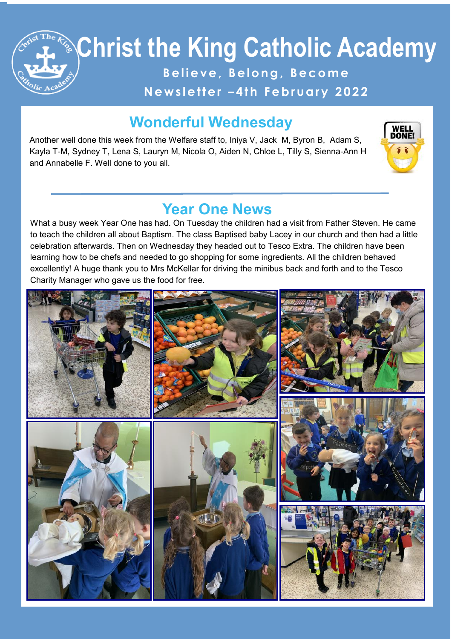**B e l i e v e , B e l o n g , B e c o m e**

#### **N e w s l e t t e r – 4 t h F e b r u a r y 2 0 2 2**

#### **Wonderful Wednesday**

Another well done this week from the Welfare staff to, Iniya V, Jack M, Byron B, Adam S, Kayla T-M, Sydney T, Lena S, Lauryn M, Nicola O, Aiden N, Chloe L, Tilly S, Sienna-Ann H and Annabelle F. Well done to you all.



#### **Year One News**

What a busy week Year One has had. On Tuesday the children had a visit from Father Steven. He came to teach the children all about Baptism. The class Baptised baby Lacey in our church and then had a little celebration afterwards. Then on Wednesday they headed out to Tesco Extra. The children have been learning how to be chefs and needed to go shopping for some ingredients. All the children behaved excellently! A huge thank you to Mrs McKellar for driving the minibus back and forth and to the Tesco Charity Manager who gave us the food for free.